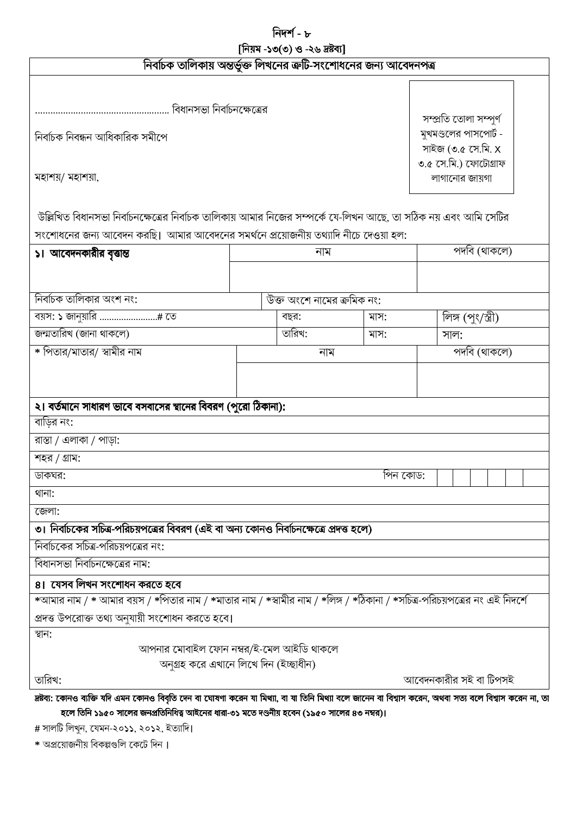নিদর্শ - ৮ [নিয়ম -১৩(৩) ও -২৬ দ্ৰষ্টব্য]

|  |  |  | নির্বাচক তালিকায় অন্তর্ভুক্ত লিখনের ত্রুটি-সংশোধনের জন্য আবেদনপত্র |  |
|--|--|--|---------------------------------------------------------------------|--|

সম্প্ৰতি তোলা সম্পূৰ্ণ মুখমণ্ডলের পাসপোর্ট -

সাইজ (৩.৫ সে.মি. X ৩.৫ সে.মি.) ফোটোগ্ৰাফ

লাগানোর জায়গা

নিৰ্বাচক নিবন্ধন আধিকারিক সমীপে

মহাশয়/ মহাশয়া,

উল্লিখিত বিধানসভা নির্বাচনক্ষেত্রের নির্বাচক তালিকায় আমার নিজের সম্পর্কে যে-লিখন আছে, তা সঠিক নয় এবং আমি সেটির

| সংশোধনের জন্য আবেদন করাছ।  আমার আবেদনের সমযনে প্রয়োজনায় তথ্যাদ নাচে দেওয়া হল:                                                                  |                            |      |                                     |  |  |  |  |  |
|---------------------------------------------------------------------------------------------------------------------------------------------------|----------------------------|------|-------------------------------------|--|--|--|--|--|
| ১। আবেদনকারীর বৃত্তান্ত                                                                                                                           | নাম                        |      | $\overline{\mathbb{R}^{n}}$ (থাকলে) |  |  |  |  |  |
|                                                                                                                                                   |                            |      |                                     |  |  |  |  |  |
|                                                                                                                                                   |                            |      |                                     |  |  |  |  |  |
| নির্বাচক তালিকার অংশ নং:                                                                                                                          | উক্ত অংশে নামের ক্রমিক নং: |      |                                     |  |  |  |  |  |
|                                                                                                                                                   | বছর:                       | মাস: | লিঙ্গ (পুং/স্ত্রী)                  |  |  |  |  |  |
| জন্মতারিখ (জানা থাকলে)                                                                                                                            | তারিখ:                     | মাস: | সাল:                                |  |  |  |  |  |
| * পিতার/মাতার/ স্বামীর নাম                                                                                                                        | নাম                        |      | পদবি (থাকলে)                        |  |  |  |  |  |
|                                                                                                                                                   |                            |      |                                     |  |  |  |  |  |
|                                                                                                                                                   |                            |      |                                     |  |  |  |  |  |
| ২। বর্তমানে সাধারণ ভাবে বসবাসের স্থানের বিবরণ (পুরো ঠিকানা):                                                                                      |                            |      |                                     |  |  |  |  |  |
| বাড়ির নং:                                                                                                                                        |                            |      |                                     |  |  |  |  |  |
| $\overline{3}$ রাস্তা / এলাকা / পাড়া:                                                                                                            |                            |      |                                     |  |  |  |  |  |
| শহর / গ্রাম:                                                                                                                                      |                            |      |                                     |  |  |  |  |  |
| পিন কোড:<br>ডাকঘর:                                                                                                                                |                            |      |                                     |  |  |  |  |  |
| থানা:                                                                                                                                             |                            |      |                                     |  |  |  |  |  |
| জেলা:                                                                                                                                             |                            |      |                                     |  |  |  |  |  |
| ৩। নির্বাচকের সচিত্র-পরিচয়পত্রের বিবরণ (এই বা অন্য কোনও নির্বাচনক্ষেত্রে প্রদত্ত হলে)                                                            |                            |      |                                     |  |  |  |  |  |
| নির্বাচকের সচিত্র-পরিচয়পত্রের নং:                                                                                                                |                            |      |                                     |  |  |  |  |  |
| বিধানসভা নির্বাচনক্ষেত্রের নাম:                                                                                                                   |                            |      |                                     |  |  |  |  |  |
| ৪। যেসব লিখন সংশোধন করতে হবে                                                                                                                      |                            |      |                                     |  |  |  |  |  |
| *আমার নাম / * আমার বয়স / *পিতার নাম / *মাতার নাম / *স্বামীর নাম / *লিঙ্গ / *ঠিকানা / *সচিত্র-পরিচয়পত্রের নং এই নিদর্শে                          |                            |      |                                     |  |  |  |  |  |
| প্রদত্ত উপরোক্ত তথ্য অনুযায়ী সংশোধন করতে হবে।                                                                                                    |                            |      |                                     |  |  |  |  |  |
| স্থান:                                                                                                                                            |                            |      |                                     |  |  |  |  |  |
| আপনার মোবাইল ফোন নম্বর/ই-মেল আইডি থাকলে                                                                                                           |                            |      |                                     |  |  |  |  |  |
| অনুগ্ৰহ করে এখানে লিখে দিন (ইচ্ছাধীন)                                                                                                             |                            |      |                                     |  |  |  |  |  |
| তারিখ:<br>আবেদনকারীর সই বা টিপসই                                                                                                                  |                            |      |                                     |  |  |  |  |  |
| দ্রষ্টব্য: কোনও ব্যক্তি যদি এমন কোনও বিবৃতি দেন বা ঘোষণা করেন যা মিথ্যা, বা যা তিনি মিথ্যা বলে বা বিশ্বাস করেন, অথবা সত্য বলে বিশ্বাস করেন না, তা |                            |      |                                     |  |  |  |  |  |

হলে তিনি ১৯৫০ সালের জনপ্রতিনিধিত্ব আইনের ধারা-৩১ মতে দণ্ডনীয় হবেন (১৯৫০ সালের ৪৩ নম্বর)।

# সালটি লিখুন, যেমন-২০১১, ২০১২, ইত্যাদি।

\* অপ্রয়োজনীয় বিকল্পগুলি কেটে দিন।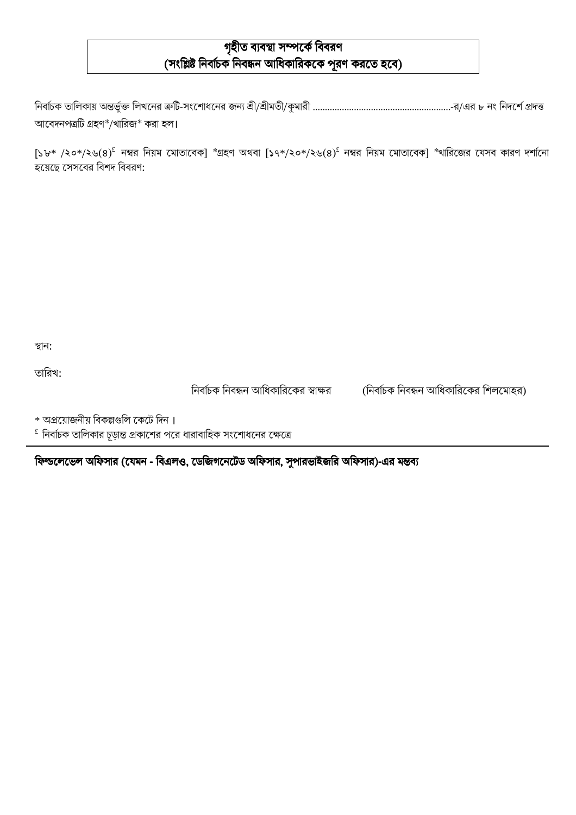# গৃহীত ব্যবস্থা সম্পৰ্কে বিবরণ (সংশ্লিষ্ট নির্বাচক নিবন্ধন আধিকারিককে পূরণ করতে হবে)

নির্বাচক তালিকায় অন্তর্ভুক্ত লিখনের ক্রটি-সংশোধনের জন্য শ্রী/শ্রীমতী/কুমারী …………………………………………………………-র/এর ৮ নং নিদর্শে প্রদত্ত আবেদনপত্রটি গ্রহণ\*/খারিজ\* করা হল।

 $[5b* / 80*/886^2]$  নম্বর নিয়ম মোতাবেক] \*গ্রহণ অথবা  $[54*/80*/88669^2]$  নম্বর নিয়ম মোতাবেক] \*খারিজের যেসব কারণ দর্শানো হয়েছে সেসবের বিশদ বিবরণ:

স্থান:

তারিখ:

নির্বাচক নিবন্ধন আধিকারিকের স্বাক্ষর

(নির্বাচক নিবন্ধন আধিকারিকের শিলমোহর)

\* অপ্রয়োজনীয় বিকল্পগুলি কেটে দিন।

 $^{\rm \scriptscriptstyle f}$  নির্বাচক তালিকার চূড়ান্ত প্রকাশের পরে ধারাবাহিক সংশোধনের ক্ষেত্রে

ফিল্ডলেভেল অফিসার (যেমন - বিএলও, ডেজিগনেটেড অফিসার, সুপারভাইজরি অফিসার)-এর মন্তব্য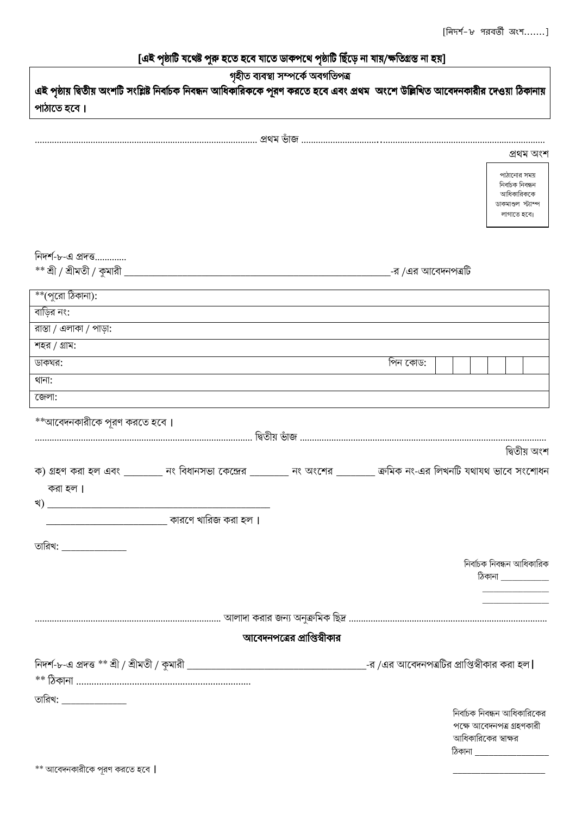# [এই পৃষ্ঠাটি যথেষ্ট পুরু হতে হবে যাতে ডাকপথে পৃষ্ঠাটি ছিঁড়ে না যায়/ক্ষতিগ্রস্ত না হয়]

| গৃহীত ব্যবস্থা সম্পৰ্কে অবগতিপত্ৰ<br>এই পৃষ্ঠায় দ্বিতীয় অংশটি সংশ্লিষ্ট নির্বাচক নিবন্ধন আধিকারিককে পূরণ করতে হবে এবং প্রথম  অংশে উল্লিখিত আবেদনকারীর দেওয়া ঠিকানায় |                                                                                                                    |                             |                    |                          |                                                                                 |              |  |  |
|-------------------------------------------------------------------------------------------------------------------------------------------------------------------------|--------------------------------------------------------------------------------------------------------------------|-----------------------------|--------------------|--------------------------|---------------------------------------------------------------------------------|--------------|--|--|
| পাঠাতে হবে।                                                                                                                                                             |                                                                                                                    |                             |                    |                          |                                                                                 |              |  |  |
|                                                                                                                                                                         |                                                                                                                    |                             |                    |                          |                                                                                 |              |  |  |
|                                                                                                                                                                         |                                                                                                                    |                             |                    |                          |                                                                                 | প্ৰথম অংশ    |  |  |
|                                                                                                                                                                         |                                                                                                                    |                             |                    |                          | পাঠানোর সময়                                                                    |              |  |  |
|                                                                                                                                                                         |                                                                                                                    |                             |                    |                          | নিৰ্বাচক নিবন্ধন<br>আধিকারিককে<br>ডাকমাশুল স্ট্যাম্প<br>লাগাতে হবে।             |              |  |  |
| নিদর্শ-৮-এ প্রদত্ত                                                                                                                                                      |                                                                                                                    |                             |                    |                          |                                                                                 |              |  |  |
|                                                                                                                                                                         | $**$ শ্রী / শ্রীমতী / কুমারী $\overline{\phantom{a}}$                                                              |                             | -র /এর আবেদনপত্রটি |                          |                                                                                 |              |  |  |
| **(পুরো ঠিকানা):                                                                                                                                                        |                                                                                                                    |                             |                    |                          |                                                                                 |              |  |  |
| বাডির নং:                                                                                                                                                               |                                                                                                                    |                             |                    |                          |                                                                                 |              |  |  |
| রাস্তা / এলাকা / পাড়া:                                                                                                                                                 |                                                                                                                    |                             |                    |                          |                                                                                 |              |  |  |
| শহর / গ্রাম:                                                                                                                                                            |                                                                                                                    |                             |                    |                          |                                                                                 |              |  |  |
| ডাকঘর:                                                                                                                                                                  |                                                                                                                    |                             | পিন কোড:           |                          |                                                                                 |              |  |  |
| থানা:                                                                                                                                                                   |                                                                                                                    |                             |                    |                          |                                                                                 |              |  |  |
| জেলা:                                                                                                                                                                   |                                                                                                                    |                             |                    |                          |                                                                                 |              |  |  |
| **আবেদনকারীকে পূরণ করতে হবে।<br>করা হল।<br>খ)                                                                                                                           | ক) গ্রহণ করা হল এবং ________ নং বিধানসভা কেন্দ্রের _______ নং অংশের ________ ক্রমিক নং-এর লিখনটি যথাযথ ভাবে সংশোধন |                             |                    |                          |                                                                                 | দ্বিতীয় অংশ |  |  |
|                                                                                                                                                                         | ়কারণে খারিজ করা হল ।                                                                                              |                             |                    |                          |                                                                                 |              |  |  |
| তারিখ: <b>_____________</b> _                                                                                                                                           |                                                                                                                    |                             |                    |                          | নিৰ্বাচক নিবন্ধন আধিকারিক<br>$\delta$ কানা $\_\_\_\_\_\_\_\_\_\_\_\_\_$         |              |  |  |
|                                                                                                                                                                         |                                                                                                                    |                             |                    |                          |                                                                                 |              |  |  |
|                                                                                                                                                                         |                                                                                                                    | আবেদনপত্রের প্রাপ্তিস্বীকার |                    |                          |                                                                                 |              |  |  |
|                                                                                                                                                                         |                                                                                                                    |                             |                    |                          |                                                                                 |              |  |  |
|                                                                                                                                                                         |                                                                                                                    |                             |                    |                          |                                                                                 |              |  |  |
| তারিখ: <b>_____________</b>                                                                                                                                             |                                                                                                                    |                             |                    | ঠিকানা _________________ | নির্বাচক নিবন্ধন আধিকারিকের<br>পক্ষে আবেদনপত্ৰ গ্ৰহণকারী<br>আধিকারিকের স্বাক্ষর |              |  |  |
| ** আবেদনকারীকে পূরণ করতে হবে                                                                                                                                            |                                                                                                                    |                             |                    |                          |                                                                                 |              |  |  |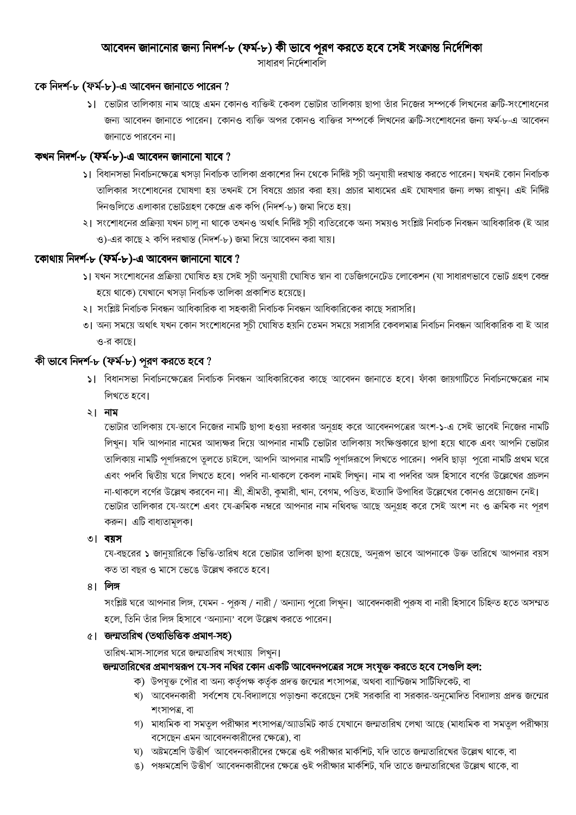### আবেদন জানানোর জন্য নিদর্শ-৮ (ফর্ম-৮) কী ভাবে পূরণ করতে হবে সেই সংক্রান্ত নির্দেশিকা

সাধারণ নির্দেশাবলি

### কে নিদর্শ-৮ (ফর্ম-৮)-এ আবেদন জানাতে পারেন ?

১। ভোটার তালিকায় নাম আছে এমন কোনও ব্যক্তিই কেবল ভোটার তালিকায় ছাপা তাঁর নিজের সম্পর্কে লিখনের ক্রটি-সংশোধনের জন্য আবেদন জানাতে পারেন। কোনও ব্যক্তি অপর কোনও ব্যক্তির সম্পর্কে লিখনের ক্রটি-সংশোধনের জন্য ফর্ম-৮-এ আবেদন জানাতে পারবেন না।

## কখন নিদৰ্শ-৮ (ফৰ্ম-৮)-এ আবেদন জানানো যাবে ?

- ১। বিধানসভা নির্বাচনক্ষেত্রে খসড়া নির্বাচক তালিকা প্রকাশের দিন থেকে নির্দিষ্ট সূচী অনুযায়ী দরখাস্ত করতে পারেন। যখনই কোন নির্বাচক তালিকার সংশোধনের ঘোষণা হয় তখনই সে বিষয়ে প্রচার করা হয়। প্রচার মাধ্যমের এই ঘোষণার জন্য লক্ষ্য রাখন। এই নির্দিষ্ট দিনগুলিতে এলাকার ভোটগ্রহণ কেন্দ্রে এক কপি (নিদর্শ-৮) জমা দিতে হয়।
- ২। সংশোধনের প্রক্রিয়া যখন চালু না থাকে তখনও অর্থাৎ নির্দিষ্ট সূচী ব্যতিরেকে অন্য সময়ও সংশ্লিষ্ট নির্বাচক নিবন্ধন আধিকারিক (ই আর ও)-এর কাছে ২ কপি দরখাস্ত (নিদর্শ-৮) জমা দিয়ে আবেদন করা যায়।

#### কোথায় নিদর্শ-৮ (ফর্ম-৮)-এ আবেদন জানানো যাবে ?

- ১। যখন সংশোধনের প্রক্রিয়া ঘোষিত হয় সেই সূচী অনুযায়ী ঘোষিত স্থান বা ডেজিগনেটেড লোকেশন (যা সাধারণভাবে ভোট গ্রহণ কেন্দ্র হয়ে থাকে) যেখানে খসডা নিৰ্বাচক তালিকা প্ৰকাশিত হয়েছে।
- ২। সংশ্লিষ্ট নির্বাচক নিবন্ধন আধিকারিক বা সহকারী নির্বাচক নিবন্ধন আধিকারিকের কাছে সরাসরি।
- ৩। অন্য সময়ে অৰ্থাৎ যখন কোন সংশোধনের সচী ঘোষিত হয়নি তেমন সময়ে সরাসরি কেবলমাত্র নির্বাচন নিবন্ধন আধিকারিক বা ই আর ও-র কাছে।

# কী ভাবে নিদর্শ-৮ (ফর্ম-৮) পূরণ করতে হবে ?

১। বিধানসভা নির্বাচনক্ষেত্রের নির্বাচক নিবন্ধন আধিকারিকের কাছে আবেদন জানাতে হবে। ফাঁকা জায়গাটিতে নির্বাচনক্ষেত্রের নাম লিখতে হবে।

#### ২। নাম

ডোটার তালিকায় যে-ভাবে নিজের নামটি ছাপা হওয়া দরকার অনুগ্রহ করে আবেদনপত্রের অংশ-১-এ সেই ভাবেই নিজের নামটি লিখুন। যদি আপনার নামের আদ্যক্ষর দিয়ে আপনার নামটি ভোটার তালিকায় সংক্ষিপ্তকারে ছাপা হয়ে থাকে এবং আপনি ভোটার তালিকায় নামটি পূর্ণাঙ্গরূপে তুলতে চাইলে, আপনি আপনার নামটি পূর্ণাঙ্গরূপে লিখতে পারেন। পদবি ছাড়া পুরো নামটি প্রথম ঘরে এবং পদবি দ্বিতীয় ঘরে লিখতে হবে। পদবি না-থাকলে কেবল নামই লিখুন। নাম বা পদবির অঙ্গ হিসাবে বর্ণের উল্লেখের প্রচলন না-থাকলে বর্ণের উল্লেখ করবেন না। শ্রী, শ্রীমতী, কুমারী, খান, বেগম, পণ্ডিত, ইত্যাদি উপাধির উল্লেখের কোনও প্রয়োজন নেই। ডোটার তালিকার যে-অংশে এবং যে-ক্রমিক নম্বরে আপনার নাম নথিবদ্ধ আছে অনুগ্রহ করে সেই অংশ নং ও ক্রমিক নং পূরণ করুন। এটি বাধ্যতামূলক।

৩। বয়স

যে-বছরের ১ জানুয়ারিকে ভিত্তি-তারিখ ধরে ভোটার তালিকা ছাপা হয়েছে, অনুরূপ ভাবে আপনাকে উক্ত তারিখে আপনার বয়স কত তা বছর ও মাসে ভেঙে উল্লেখ করতে হবে।

৪। লিঙ্গ

সংশ্লিষ্ট ঘরে আপনার লিঙ্গ, যেমন - পুরুষ / নারী / অন্যান্য পুরো লিখুন। আবেদনকারী পুরুষ বা নারী হিসাবে চিহ্নিত হতে অসম্মত হলে, তিনি তাঁর লিঙ্গ হিসাবে 'অন্যান্য' বলে উল্লেখ করতে পারেন।

#### ৫। জন্মতারিখ (তথ্যভিত্তিক প্রমাণ-সহ)

তারিখ-মাস-সালের ঘরে জন্মতারিখ সংখ্যায় লিখন।

# জন্মতারিখের প্রমাণস্বরূপ যে-সব নথির কোন একটি আবেদনপত্রের সঙ্গে সংযুক্ত করতে হবে সেগুলি হল:

- ক) উপযুক্ত পৌর বা অন্য কর্তৃপক্ষ কর্তৃক প্রদত্ত জন্মের শংসাপত্র, অথবা ব্যাপ্টিজম সার্টিফিকেট, বা
- খ) আবেদনকারী সর্বশেষ যে-বিদ্যালয়ে পড়াশুনা করেছেন সেই সরকারি বা সরকার-অনুমোদিত বিদ্যালয় প্রদত্ত জন্মের শংসাপত্র, বা
- গ) মাধ্যমিক বা সমতুল পরীক্ষার শংসাপত্র/অ্যাডমিট কার্ড যেখানে জন্মতারিখ লেখা আছে (মাধ্যমিক বা সমতুল পরীক্ষায় বসেছেন এমন আবেদনকারীদের ক্ষেত্রে), বা
- ঘ) অষ্টমশ্রেণি উত্তীর্ণ আবেদনকারীদের ক্ষেত্রে ওই পরীক্ষার মার্কশিট, যদি তাতে জন্মতারিখের উল্লেখ থাকে, বা
- ঙ) পঞ্চমশ্রেণি উত্তীর্ণ আবেদনকারীদের ক্ষেত্রে ওই পরীক্ষার মার্কশিট, যদি তাতে জন্মতারিখের উল্লেখ থাকে, বা